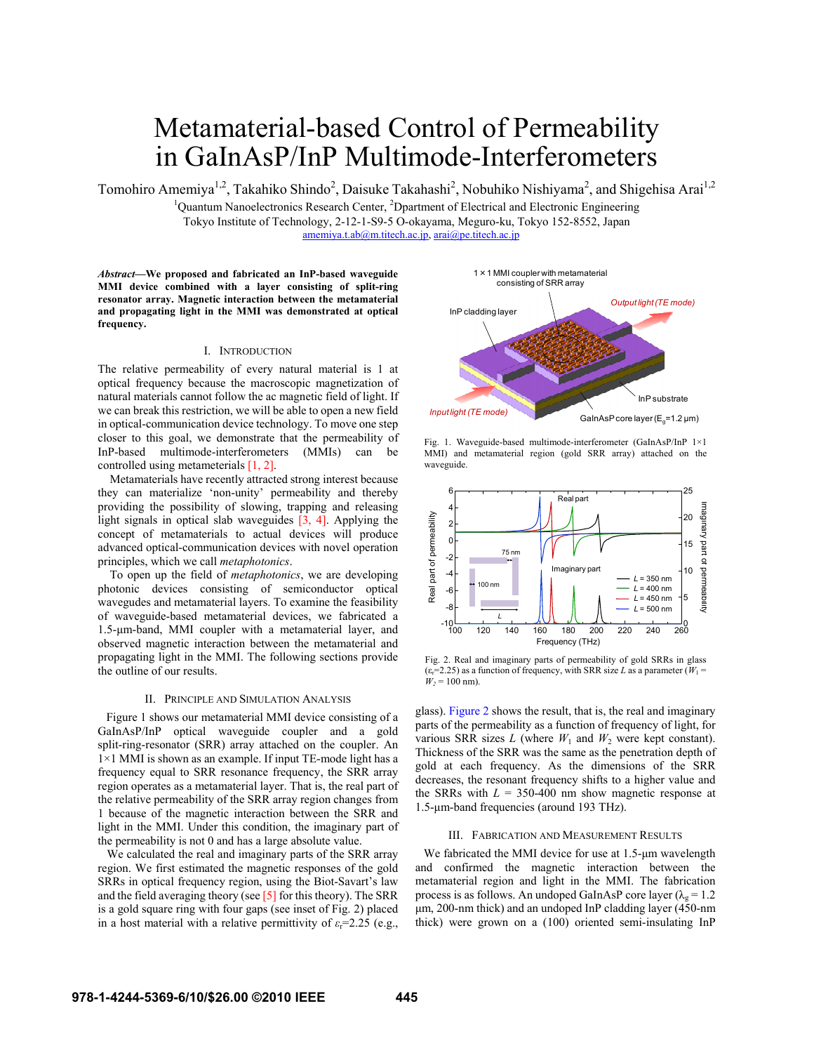# Metamaterial-based Control of Permeability in GaInAsP/InP Multimode-Interferometers

Tomohiro Amemiya<sup>1,2</sup>, Takahiko Shindo<sup>2</sup>, Daisuke Takahashi<sup>2</sup>, Nobuhiko Nishiyama<sup>2</sup>, and Shigehisa Arai<sup>1,2</sup>

<sup>1</sup>Quantum Nanoelectronics Research Center, <sup>2</sup>Dpartment of Electrical and Electronic Engineering Tokyo Institute of Technology, 2-12-1-S9-5 O-okayama, Meguro-ku, Tokyo 152-8552, Japan

amemiya.t.ab@m.titech.ac.jp, arai@pe.titech.ac.jp

*Abstract***—We proposed and fabricated an InP-based waveguide MMI device combined with a layer consisting of split-ring resonator array. Magnetic interaction between the metamaterial and propagating light in the MMI was demonstrated at optical frequency.** 

# I. INTRODUCTION

The relative permeability of every natural material is 1 at optical frequency because the macroscopic magnetization of natural materials cannot follow the ac magnetic field of light. If we can break this restriction, we will be able to open a new field in optical-communication device technology. To move one step closer to this goal, we demonstrate that the permeability of InP-based multimode-interferometers (MMIs) can be controlled using metameterials [1, 2].

Metamaterials have recently attracted strong interest because they can materialize 'non-unity' permeability and thereby providing the possibility of slowing, trapping and releasing light signals in optical slab waveguides  $\overline{[3, 4]}$ . Applying the concept of metamaterials to actual devices will produce advanced optical-communication devices with novel operation principles, which we call *metaphotonics*.

To open up the field of *metaphotonics*, we are developing photonic devices consisting of semiconductor optical wavegudes and metamaterial layers. To examine the feasibility of waveguide-based metamaterial devices, we fabricated a 1.5-μm-band, MMI coupler with a metamaterial layer, and observed magnetic interaction between the metamaterial and propagating light in the MMI. The following sections provide the outline of our results.

## II. PRINCIPLE AND SIMULATION ANALYSIS

Figure 1 shows our metamaterial MMI device consisting of a GaInAsP/InP optical waveguide coupler and a gold split-ring-resonator (SRR) array attached on the coupler. An 1×1 MMI is shown as an example. If input TE-mode light has a frequency equal to SRR resonance frequency, the SRR array region operates as a metamaterial layer. That is, the real part of the relative permeability of the SRR array region changes from 1 because of the magnetic interaction between the SRR and light in the MMI. Under this condition, the imaginary part of the permeability is not 0 and has a large absolute value.

 We calculated the real and imaginary parts of the SRR array region. We first estimated the magnetic responses of the gold SRRs in optical frequency region, using the Biot-Savart's law and the field averaging theory (see [5] for this theory). The SRR is a gold square ring with four gaps (see inset of Fig. 2) placed in a host material with a relative permittivity of  $\varepsilon_r$ =2.25 (e.g.,



Fig. 1. Waveguide-based multimode-interferometer (GaInAsP/InP 1×1 MMI) and metamaterial region (gold SRR array) attached on the waveguide.



Fig. 2. Real and imaginary parts of permeability of gold SRRs in glass  $(\varepsilon_r=2.25)$  as a function of frequency, with SRR size *L* as a parameter ( $W_1$  =  $W_2 = 100$  nm).

glass). Figure 2 shows the result, that is, the real and imaginary parts of the permeability as a function of frequency of light, for various SRR sizes  $L$  (where  $W_1$  and  $W_2$  were kept constant). Thickness of the SRR was the same as the penetration depth of gold at each frequency. As the dimensions of the SRR decreases, the resonant frequency shifts to a higher value and the SRRs with  $L = 350-400$  nm show magnetic response at 1.5-μm-band frequencies (around 193 THz).

## III. FABRICATION AND MEASUREMENT RESULTS

We fabricated the MMI device for use at 1.5-μm wavelength and confirmed the magnetic interaction between the metamaterial region and light in the MMI. The fabrication process is as follows. An undoped GaInAsP core layer ( $\lambda_{\alpha} = 1.2$ ) μm, 200-nm thick) and an undoped InP cladding layer (450-nm thick) were grown on a (100) oriented semi-insulating InP